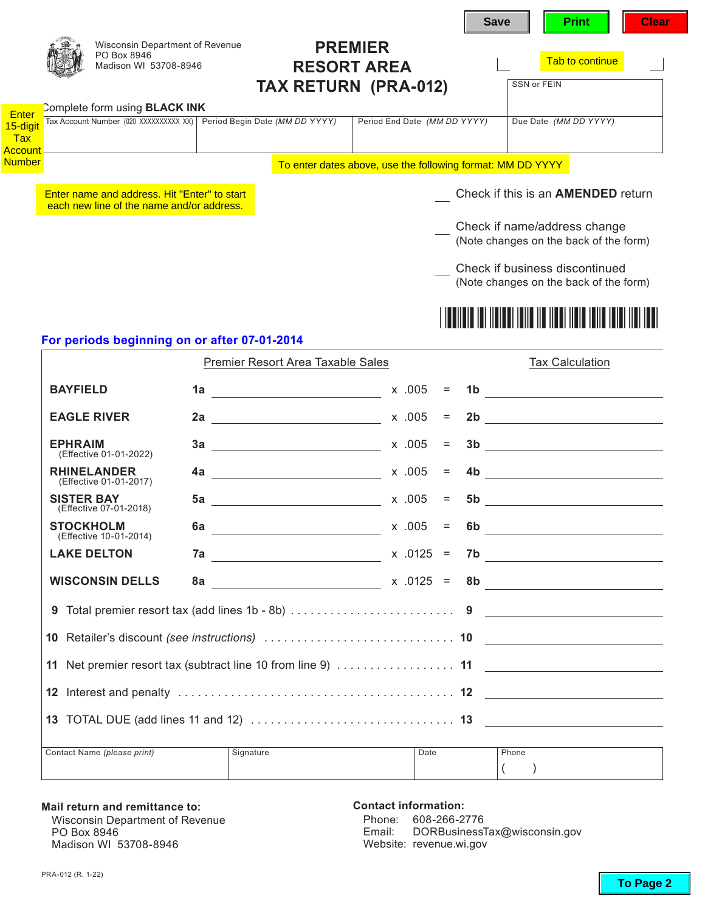| Wisconsin Department of Revenue<br>PO Box 8946<br>Madison WI 53708-8946                                      | <b>TAX RETURN (PRA-012)</b>       | <b>PREMIER</b><br><b>RESORT AREA</b>                       |          | Tab to continue<br>SSN or FEIN                                           |
|--------------------------------------------------------------------------------------------------------------|-----------------------------------|------------------------------------------------------------|----------|--------------------------------------------------------------------------|
| Complete form using <b>BLACK INK</b><br>Tax Account Number (020 XXXXXXXXX XX) Period Begin Date (MM DD YYYY) |                                   | Period End Date (MM DD YYYY)                               |          | Due Date (MM DD YYYY)                                                    |
| Account <b>A</b><br><b>Number</b>                                                                            |                                   | To enter dates above, use the following format: MM DD YYYY |          |                                                                          |
| Enter name and address. Hit "Enter" to start<br>each new line of the name and/or address.                    |                                   |                                                            |          | Check if this is an <b>AMENDED</b> return                                |
|                                                                                                              |                                   |                                                            |          | Check if name/address change<br>(Note changes on the back of the form)   |
|                                                                                                              |                                   |                                                            |          | Check if business discontinued<br>(Note changes on the back of the form) |
|                                                                                                              |                                   |                                                            |          |                                                                          |
| For periods beginning on or after 07-01-2014                                                                 | Premier Resort Area Taxable Sales |                                                            |          | <b>Tax Calculation</b>                                                   |
| <b>BAYFIELD</b>                                                                                              |                                   |                                                            | $\equiv$ |                                                                          |
|                                                                                                              |                                   |                                                            |          |                                                                          |
| <b>EAGLE RIVER</b>                                                                                           |                                   |                                                            | $\equiv$ |                                                                          |
| <b>EPHRAIM</b><br>(Effective 01-01-2022)                                                                     |                                   |                                                            | $\equiv$ | 3b                                                                       |
| <b>RHINELANDER</b><br>(Effective 01-01-2017)                                                                 |                                   |                                                            | $\equiv$ |                                                                          |
| <b>SISTER BAY</b><br>(Effective 07-01-2018)                                                                  |                                   |                                                            | $\equiv$ |                                                                          |
| <b>STOCKHOLM</b><br>(Effective 10-01-2014)                                                                   |                                   |                                                            |          |                                                                          |
| <b>LAKE DELTON</b>                                                                                           |                                   |                                                            |          | $7a$ $x .0125 = 7b$                                                      |
| <b>WISCONSIN DELLS</b>                                                                                       |                                   |                                                            |          |                                                                          |
| 9                                                                                                            |                                   |                                                            |          |                                                                          |
|                                                                                                              |                                   |                                                            |          |                                                                          |
|                                                                                                              |                                   |                                                            |          |                                                                          |
|                                                                                                              |                                   |                                                            |          |                                                                          |
| 11                                                                                                           |                                   |                                                            |          |                                                                          |

| Conto <sup>-</sup><br>10m<br>print,<br>$\mathbf{v}$ and $\mathbf{v}$ | Sianati.<br>and the state of the state of the | Date | Phone |
|----------------------------------------------------------------------|-----------------------------------------------|------|-------|
|                                                                      |                                               |      |       |
|                                                                      |                                               |      |       |

#### **Mail return and remittance to:**

Wisconsin Department of Revenue PO Box 8946 Madison WI 53708-8946

#### **Contact information:**

Phone: 608-266-2776 Email: [DORBusinessTax@wisconsin.gov](https://ww2.revenue.wi.gov/Internet/dorhelp.html?subject=DORBusinessTax) Website: [revenue.wi.gov](https://www.revenue.wi.gov)